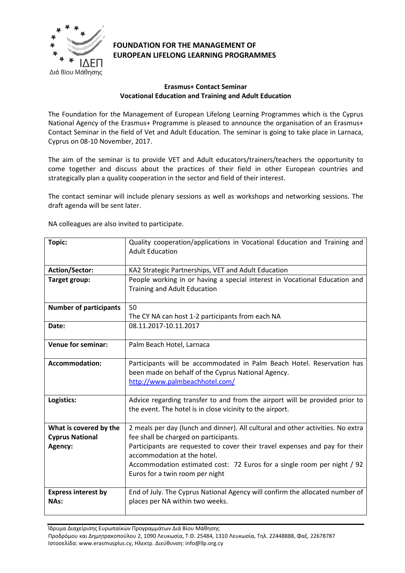

## **FOUNDATION FOR THE MANAGEMENT OF EUROPEAN LIFELONG LEARNING PROGRAMMES**

## **Erasmus+ Contact Seminar Vocational Education and Training and Adult Education**

The Foundation for the Management of European Lifelong Learning Programmes which is the Cyprus National Agency of the Erasmus+ Programme is pleased to announce the organisation of an Erasmus+ Contact Seminar in the field of Vet and Adult Education. The seminar is going to take place in Larnaca, Cyprus on 08-10 November, 2017.

The aim of the seminar is to provide VET and Adult educators/trainers/teachers the opportunity to come together and discuss about the practices of their field in other European countries and strategically plan a quality cooperation in the sector and field of their interest.

The contact seminar will include plenary sessions as well as workshops and networking sessions. The draft agenda will be sent later.

NA colleagues are also invited to participate.

| Topic:                                                      | Quality cooperation/applications in Vocational Education and Training and<br><b>Adult Education</b>                                                                                                                                                                                                                                                  |
|-------------------------------------------------------------|------------------------------------------------------------------------------------------------------------------------------------------------------------------------------------------------------------------------------------------------------------------------------------------------------------------------------------------------------|
| <b>Action/Sector:</b>                                       | KA2 Strategic Partnerships, VET and Adult Education                                                                                                                                                                                                                                                                                                  |
| Target group:                                               | People working in or having a special interest in Vocational Education and<br>Training and Adult Education                                                                                                                                                                                                                                           |
| <b>Number of participants</b>                               | 50                                                                                                                                                                                                                                                                                                                                                   |
|                                                             | The CY NA can host 1-2 participants from each NA                                                                                                                                                                                                                                                                                                     |
| Date:                                                       | 08.11.2017-10.11.2017                                                                                                                                                                                                                                                                                                                                |
| <b>Venue for seminar:</b>                                   | Palm Beach Hotel, Larnaca                                                                                                                                                                                                                                                                                                                            |
| <b>Accommodation:</b>                                       | Participants will be accommodated in Palm Beach Hotel. Reservation has<br>been made on behalf of the Cyprus National Agency.<br>http://www.palmbeachhotel.com/                                                                                                                                                                                       |
| Logistics:                                                  | Advice regarding transfer to and from the airport will be provided prior to<br>the event. The hotel is in close vicinity to the airport.                                                                                                                                                                                                             |
| What is covered by the<br><b>Cyprus National</b><br>Agency: | 2 meals per day (lunch and dinner). All cultural and other activities. No extra<br>fee shall be charged on participants.<br>Participants are requested to cover their travel expenses and pay for their<br>accommodation at the hotel.<br>Accommodation estimated cost: 72 Euros for a single room per night / 92<br>Euros for a twin room per night |
| <b>Express interest by</b><br>NAs:                          | End of July. The Cyprus National Agency will confirm the allocated number of<br>places per NA within two weeks.                                                                                                                                                                                                                                      |

Ίδρυμα Διαχείρισης Ευρωπαϊκών Προγραμμάτων Διά Βίου Μάθησης Προδρόμου και Δημητρακοπούλου 2, 1090 Λευκωσία, Τ.Θ. 25484, 1310 Λευκωσία, Τηλ. 22448888, Φαξ. 22678787 Ιστοσελίδα: www.erasmusplus.cy, Ηλεκτρ. Διεύθυνση: info@llp.org.cy